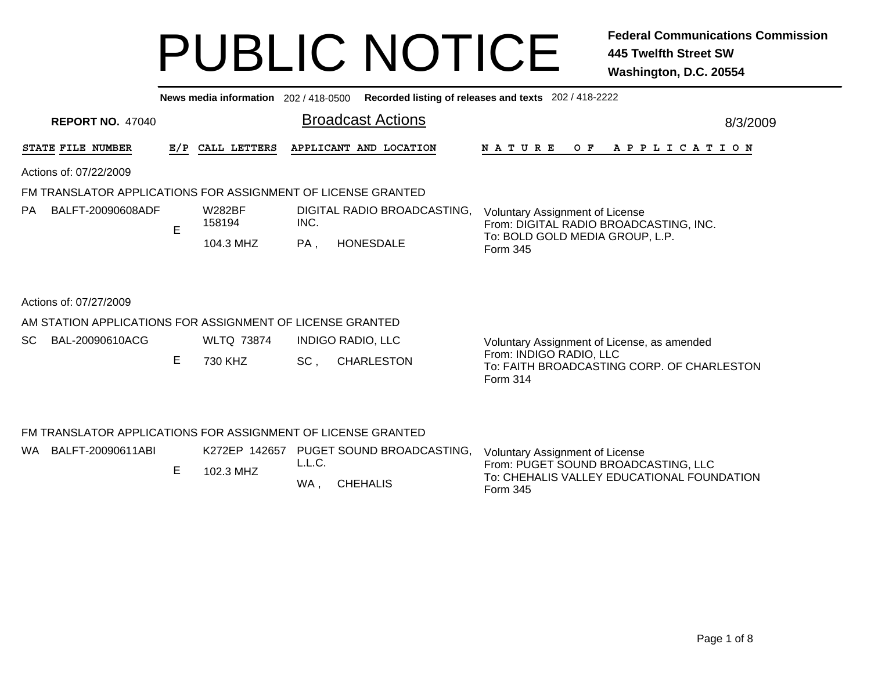|    | News media information 202/418-0500<br>Recorded listing of releases and texts 202 / 418-2222 |     |                         |      |                             |                                                                                   |  |  |  |  |  |  |  |  |
|----|----------------------------------------------------------------------------------------------|-----|-------------------------|------|-----------------------------|-----------------------------------------------------------------------------------|--|--|--|--|--|--|--|--|
|    | <b>REPORT NO. 47040</b>                                                                      |     |                         |      | <b>Broadcast Actions</b>    | 8/3/2009                                                                          |  |  |  |  |  |  |  |  |
|    | STATE FILE NUMBER                                                                            | E/P | CALL LETTERS            |      | APPLICANT AND LOCATION      | N A T U R E<br>O F<br>A P P L I C A T I O N                                       |  |  |  |  |  |  |  |  |
|    | Actions of: 07/22/2009                                                                       |     |                         |      |                             |                                                                                   |  |  |  |  |  |  |  |  |
|    | FM TRANSLATOR APPLICATIONS FOR ASSIGNMENT OF LICENSE GRANTED                                 |     |                         |      |                             |                                                                                   |  |  |  |  |  |  |  |  |
| PA | BALFT-20090608ADF                                                                            | E   | <b>W282BF</b><br>158194 | INC. | DIGITAL RADIO BROADCASTING, | <b>Voluntary Assignment of License</b><br>From: DIGITAL RADIO BROADCASTING, INC.  |  |  |  |  |  |  |  |  |
|    |                                                                                              |     | 104.3 MHZ               | PA,  | <b>HONESDALE</b>            | To: BOLD GOLD MEDIA GROUP, L.P.<br>Form 345                                       |  |  |  |  |  |  |  |  |
|    | Actions of: 07/27/2009                                                                       |     |                         |      |                             |                                                                                   |  |  |  |  |  |  |  |  |
|    | AM STATION APPLICATIONS FOR ASSIGNMENT OF LICENSE GRANTED                                    |     |                         |      |                             |                                                                                   |  |  |  |  |  |  |  |  |
| SC | BAL-20090610ACG                                                                              |     | <b>WLTQ 73874</b>       |      | <b>INDIGO RADIO, LLC</b>    | Voluntary Assignment of License, as amended                                       |  |  |  |  |  |  |  |  |
|    |                                                                                              | Е   | 730 KHZ                 | SC,  | <b>CHARLESTON</b>           | From: INDIGO RADIO, LLC<br>To: FAITH BROADCASTING CORP. OF CHARLESTON<br>Form 314 |  |  |  |  |  |  |  |  |

| FM TRANSLATOR APPLICATIONS FOR ASSIGNMENT OF LICENSE GRANTED |  |           |                                                                      |                                                                                                                                         |  |  |  |  |  |  |  |  |  |  |
|--------------------------------------------------------------|--|-----------|----------------------------------------------------------------------|-----------------------------------------------------------------------------------------------------------------------------------------|--|--|--|--|--|--|--|--|--|--|
| WA BALFT-20090611ABI                                         |  | 102.3 MHZ | K272EP 142657 PUGET SOUND BROADCASTING.<br>L.L.C.<br>CHEHALIS<br>WA. | <b>Voluntary Assignment of License</b><br>From: PUGET SOUND BROADCASTING, LLC<br>To: CHEHALIS VALLEY EDUCATIONAL FOUNDATION<br>Form 345 |  |  |  |  |  |  |  |  |  |  |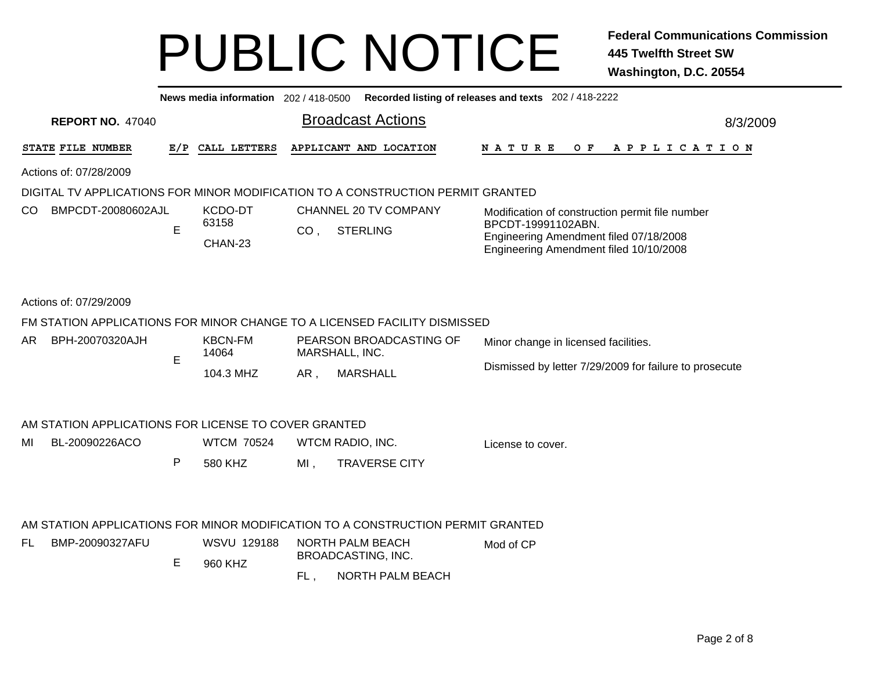| News media information 202 / 418-0500<br>Recorded listing of releases and texts 202 / 418-2222 |   |                               |                 |                                                                                 |                                                                                                                                                           |  |  |  |  |  |  |  |
|------------------------------------------------------------------------------------------------|---|-------------------------------|-----------------|---------------------------------------------------------------------------------|-----------------------------------------------------------------------------------------------------------------------------------------------------------|--|--|--|--|--|--|--|
| <b>Broadcast Actions</b><br><b>REPORT NO. 47040</b><br>8/3/2009                                |   |                               |                 |                                                                                 |                                                                                                                                                           |  |  |  |  |  |  |  |
| STATE FILE NUMBER                                                                              |   | E/P CALL LETTERS              |                 | APPLICANT AND LOCATION                                                          | N A T U R E<br>O F<br>A P P L I C A T I O N                                                                                                               |  |  |  |  |  |  |  |
| Actions of: 07/28/2009                                                                         |   |                               |                 |                                                                                 |                                                                                                                                                           |  |  |  |  |  |  |  |
|                                                                                                |   |                               |                 | DIGITAL TV APPLICATIONS FOR MINOR MODIFICATION TO A CONSTRUCTION PERMIT GRANTED |                                                                                                                                                           |  |  |  |  |  |  |  |
| CO<br>BMPCDT-20080602AJL                                                                       | E | KCDO-DT<br>63158<br>CHAN-23   | CO <sub>1</sub> | CHANNEL 20 TV COMPANY<br><b>STERLING</b>                                        | Modification of construction permit file number<br>BPCDT-19991102ABN.<br>Engineering Amendment filed 07/18/2008<br>Engineering Amendment filed 10/10/2008 |  |  |  |  |  |  |  |
| Actions of: 07/29/2009                                                                         |   |                               |                 |                                                                                 |                                                                                                                                                           |  |  |  |  |  |  |  |
|                                                                                                |   |                               |                 | FM STATION APPLICATIONS FOR MINOR CHANGE TO A LICENSED FACILITY DISMISSED       |                                                                                                                                                           |  |  |  |  |  |  |  |
| BPH-20070320AJH<br>AR                                                                          | E | <b>KBCN-FM</b><br>14064       |                 | PEARSON BROADCASTING OF<br>MARSHALL, INC.                                       | Minor change in licensed facilities.                                                                                                                      |  |  |  |  |  |  |  |
|                                                                                                |   | 104.3 MHZ                     | AR,             | <b>MARSHALL</b>                                                                 | Dismissed by letter 7/29/2009 for failure to prosecute                                                                                                    |  |  |  |  |  |  |  |
| AM STATION APPLICATIONS FOR LICENSE TO COVER GRANTED                                           |   |                               |                 |                                                                                 |                                                                                                                                                           |  |  |  |  |  |  |  |
| MI<br>BL-20090226ACO                                                                           |   | <b>WTCM 70524</b>             |                 | WTCM RADIO, INC.                                                                | License to cover.                                                                                                                                         |  |  |  |  |  |  |  |
|                                                                                                | P | 580 KHZ                       | $MI$ ,          | <b>TRAVERSE CITY</b>                                                            |                                                                                                                                                           |  |  |  |  |  |  |  |
|                                                                                                |   |                               |                 | AM STATION APPLICATIONS FOR MINOR MODIFICATION TO A CONSTRUCTION PERMIT GRANTED |                                                                                                                                                           |  |  |  |  |  |  |  |
| FL<br>BMP-20090327AFU                                                                          | Е | <b>WSVU 129188</b><br>960 KHZ |                 | NORTH PALM BEACH<br><b>BROADCASTING, INC.</b>                                   | Mod of CP                                                                                                                                                 |  |  |  |  |  |  |  |
|                                                                                                |   |                               | FL,             | <b>NORTH PALM BEACH</b>                                                         |                                                                                                                                                           |  |  |  |  |  |  |  |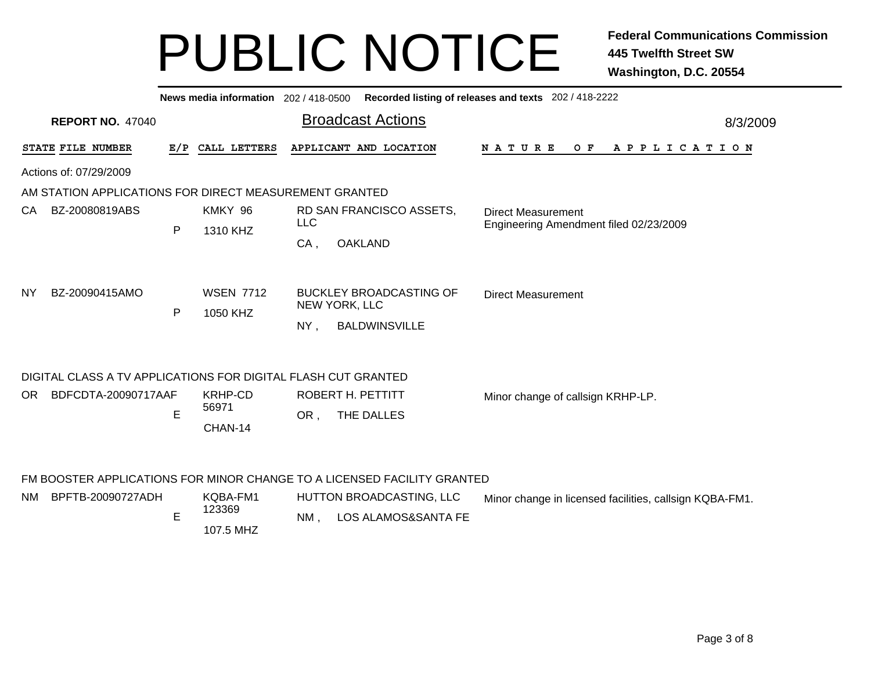|                        | Recorded listing of releases and texts 202 / 418-2222<br>News media information 202 / 418-0500 |   |                              |                            |                                                                         |                                                                     |  |  |  |  |  |  |  |  |  |
|------------------------|------------------------------------------------------------------------------------------------|---|------------------------------|----------------------------|-------------------------------------------------------------------------|---------------------------------------------------------------------|--|--|--|--|--|--|--|--|--|
|                        | <b>REPORT NO. 47040</b>                                                                        |   |                              |                            | <b>Broadcast Actions</b>                                                | 8/3/2009                                                            |  |  |  |  |  |  |  |  |  |
|                        | STATE FILE NUMBER                                                                              |   | E/P CALL LETTERS             |                            | APPLICANT AND LOCATION                                                  | O F<br>N A T U R E<br>A P P L I C A T I O N                         |  |  |  |  |  |  |  |  |  |
| Actions of: 07/29/2009 |                                                                                                |   |                              |                            |                                                                         |                                                                     |  |  |  |  |  |  |  |  |  |
|                        | AM STATION APPLICATIONS FOR DIRECT MEASUREMENT GRANTED                                         |   |                              |                            |                                                                         |                                                                     |  |  |  |  |  |  |  |  |  |
| BZ-20080819ABS<br>CA.  |                                                                                                |   | KMKY 96                      | <b>LLC</b>                 | RD SAN FRANCISCO ASSETS,                                                | <b>Direct Measurement</b><br>Engineering Amendment filed 02/23/2009 |  |  |  |  |  |  |  |  |  |
|                        |                                                                                                | P | 1310 KHZ                     | CA.                        | <b>OAKLAND</b>                                                          |                                                                     |  |  |  |  |  |  |  |  |  |
| NY                     | BZ-20090415AMO                                                                                 | P | <b>WSEN 7712</b><br>1050 KHZ | NEW YORK, LLC<br>NY,       | <b>BUCKLEY BROADCASTING OF</b><br><b>BALDWINSVILLE</b>                  | <b>Direct Measurement</b>                                           |  |  |  |  |  |  |  |  |  |
|                        | DIGITAL CLASS A TV APPLICATIONS FOR DIGITAL FLASH CUT GRANTED                                  |   |                              |                            |                                                                         |                                                                     |  |  |  |  |  |  |  |  |  |
| OR.                    | BDFCDTA-20090717AAF                                                                            |   | <b>KRHP-CD</b>               |                            | ROBERT H. PETTITT                                                       | Minor change of callsign KRHP-LP.                                   |  |  |  |  |  |  |  |  |  |
|                        |                                                                                                | E | 56971<br>CHAN-14             | OR,                        | THE DALLES                                                              |                                                                     |  |  |  |  |  |  |  |  |  |
|                        |                                                                                                |   |                              |                            | FM BOOSTER APPLICATIONS FOR MINOR CHANGE TO A LICENSED FACILITY GRANTED |                                                                     |  |  |  |  |  |  |  |  |  |
| NM.                    | BPFTB-20090727ADH                                                                              |   | KQBA-FM1                     |                            | HUTTON BROADCASTING, LLC                                                | Minor change in licensed facilities, callsign KQBA-FM1.             |  |  |  |  |  |  |  |  |  |
|                        |                                                                                                | E | 123369<br>107.5 MHZ          | LOS ALAMOS&SANTA FE<br>NM, |                                                                         |                                                                     |  |  |  |  |  |  |  |  |  |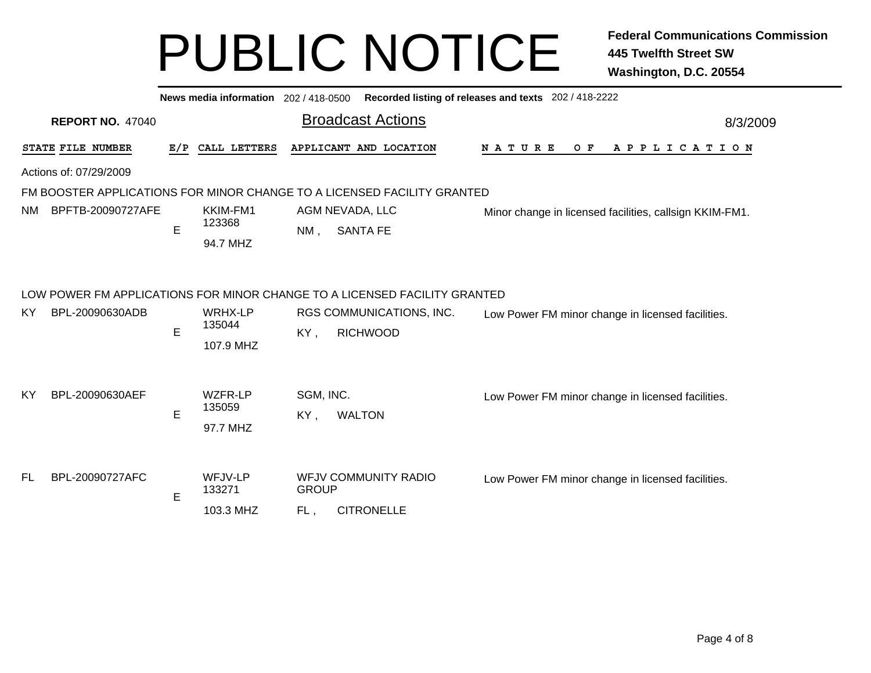|     |                         |     | News media information 202 / 418-0500 |                  |                                                                                                                          | Recorded listing of releases and texts 202 / 418-2222   |  |  |  |  |  |  |  |  |
|-----|-------------------------|-----|---------------------------------------|------------------|--------------------------------------------------------------------------------------------------------------------------|---------------------------------------------------------|--|--|--|--|--|--|--|--|
|     | <b>REPORT NO. 47040</b> |     |                                       |                  | <b>Broadcast Actions</b>                                                                                                 | 8/3/2009                                                |  |  |  |  |  |  |  |  |
|     | STATE FILE NUMBER       | E/P | CALL LETTERS                          |                  | APPLICANT AND LOCATION                                                                                                   | <b>NATURE</b><br>O F<br>A P P L I C A T I O N           |  |  |  |  |  |  |  |  |
|     | Actions of: 07/29/2009  |     |                                       |                  |                                                                                                                          |                                                         |  |  |  |  |  |  |  |  |
|     |                         |     |                                       |                  | FM BOOSTER APPLICATIONS FOR MINOR CHANGE TO A LICENSED FACILITY GRANTED                                                  |                                                         |  |  |  |  |  |  |  |  |
| NM  | BPFTB-20090727AFE       | E   | KKIM-FM1<br>123368<br>94.7 MHZ        | $NM$ ,           | AGM NEVADA, LLC<br><b>SANTA FE</b>                                                                                       | Minor change in licensed facilities, callsign KKIM-FM1. |  |  |  |  |  |  |  |  |
| KY. | BPL-20090630ADB         | E   | WRHX-LP<br>135044<br>107.9 MHZ        | KY,              | LOW POWER FM APPLICATIONS FOR MINOR CHANGE TO A LICENSED FACILITY GRANTED<br>RGS COMMUNICATIONS, INC.<br><b>RICHWOOD</b> | Low Power FM minor change in licensed facilities.       |  |  |  |  |  |  |  |  |
| KY  | BPL-20090630AEF         | E   | WZFR-LP<br>135059<br>97.7 MHZ         | SGM, INC.<br>KY, | <b>WALTON</b>                                                                                                            | Low Power FM minor change in licensed facilities.       |  |  |  |  |  |  |  |  |
| FL. | BPL-20090727AFC         | E   | WFJV-LP<br>133271                     | <b>GROUP</b>     | <b>WFJV COMMUNITY RADIO</b>                                                                                              | Low Power FM minor change in licensed facilities.       |  |  |  |  |  |  |  |  |
|     |                         |     | 103.3 MHZ                             | FL,              | <b>CITRONELLE</b>                                                                                                        |                                                         |  |  |  |  |  |  |  |  |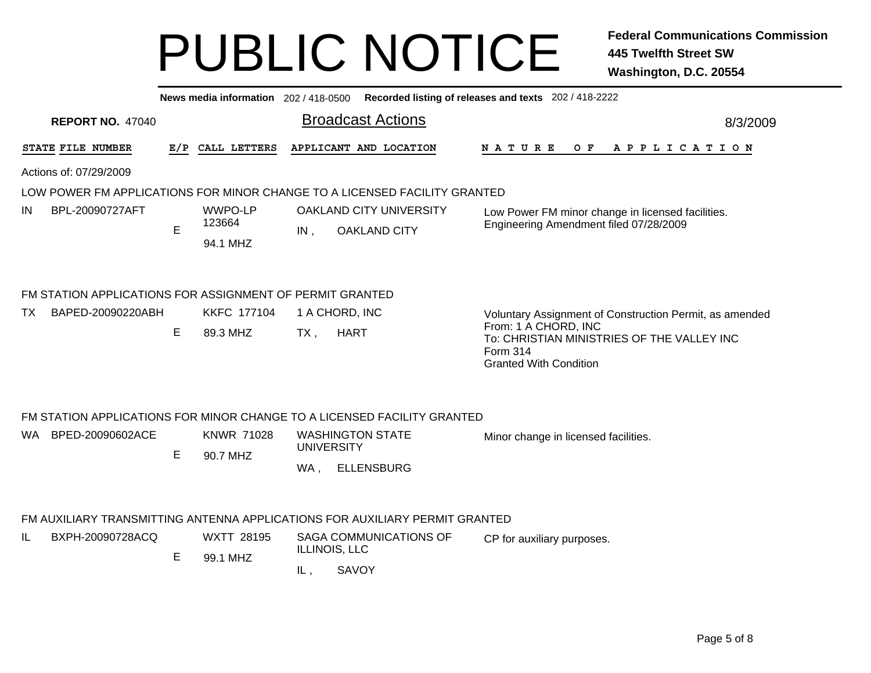| Recorded listing of releases and texts 202 / 418-2222<br>News media information 202 / 418-0500 |     |                    |                                         |                                                                                                                 |  |  |  |  |  |  |  |  |  |
|------------------------------------------------------------------------------------------------|-----|--------------------|-----------------------------------------|-----------------------------------------------------------------------------------------------------------------|--|--|--|--|--|--|--|--|--|
| <b>REPORT NO. 47040</b>                                                                        |     |                    | <b>Broadcast Actions</b>                | 8/3/2009                                                                                                        |  |  |  |  |  |  |  |  |  |
| STATE FILE NUMBER                                                                              | E/P | CALL LETTERS       | APPLICANT AND LOCATION                  | O F<br><b>NATURE</b><br>A P P L I C A T I O N                                                                   |  |  |  |  |  |  |  |  |  |
| Actions of: 07/29/2009                                                                         |     |                    |                                         |                                                                                                                 |  |  |  |  |  |  |  |  |  |
| LOW POWER FM APPLICATIONS FOR MINOR CHANGE TO A LICENSED FACILITY GRANTED                      |     |                    |                                         |                                                                                                                 |  |  |  |  |  |  |  |  |  |
| BPL-20090727AFT<br>IN                                                                          |     | WWPO-LP            | <b>OAKLAND CITY UNIVERSITY</b>          | Low Power FM minor change in licensed facilities.                                                               |  |  |  |  |  |  |  |  |  |
|                                                                                                | E   | 123664<br>94.1 MHZ | <b>OAKLAND CITY</b><br>IN,              | Engineering Amendment filed 07/28/2009                                                                          |  |  |  |  |  |  |  |  |  |
| FM STATION APPLICATIONS FOR ASSIGNMENT OF PERMIT GRANTED                                       |     |                    |                                         |                                                                                                                 |  |  |  |  |  |  |  |  |  |
| BAPED-20090220ABH<br>TX.                                                                       |     | <b>KKFC 177104</b> | 1 A CHORD, INC                          | Voluntary Assignment of Construction Permit, as amended                                                         |  |  |  |  |  |  |  |  |  |
|                                                                                                | Е   | 89.3 MHZ           | <b>HART</b><br>$TX$ ,                   | From: 1 A CHORD, INC<br>To: CHRISTIAN MINISTRIES OF THE VALLEY INC<br>Form 314<br><b>Granted With Condition</b> |  |  |  |  |  |  |  |  |  |
| FM STATION APPLICATIONS FOR MINOR CHANGE TO A LICENSED FACILITY GRANTED                        |     |                    |                                         |                                                                                                                 |  |  |  |  |  |  |  |  |  |
| BPED-20090602ACE<br>WA.                                                                        |     | <b>KNWR 71028</b>  | <b>WASHINGTON STATE</b>                 | Minor change in licensed facilities.                                                                            |  |  |  |  |  |  |  |  |  |
|                                                                                                | Е   | 90.7 MHZ           | <b>UNIVERSITY</b>                       |                                                                                                                 |  |  |  |  |  |  |  |  |  |
|                                                                                                |     |                    | <b>ELLENSBURG</b><br>WA,                |                                                                                                                 |  |  |  |  |  |  |  |  |  |
| FM AUXILIARY TRANSMITTING ANTENNA APPLICATIONS FOR AUXILIARY PERMIT GRANTED                    |     |                    |                                         |                                                                                                                 |  |  |  |  |  |  |  |  |  |
| IL<br>BXPH-20090728ACQ                                                                         | Е   | <b>WXTT 28195</b>  | SAGA COMMUNICATIONS OF<br>ILLINOIS, LLC | CP for auxiliary purposes.                                                                                      |  |  |  |  |  |  |  |  |  |
|                                                                                                |     | 99.1 MHZ           | SAVOY<br>IL,                            |                                                                                                                 |  |  |  |  |  |  |  |  |  |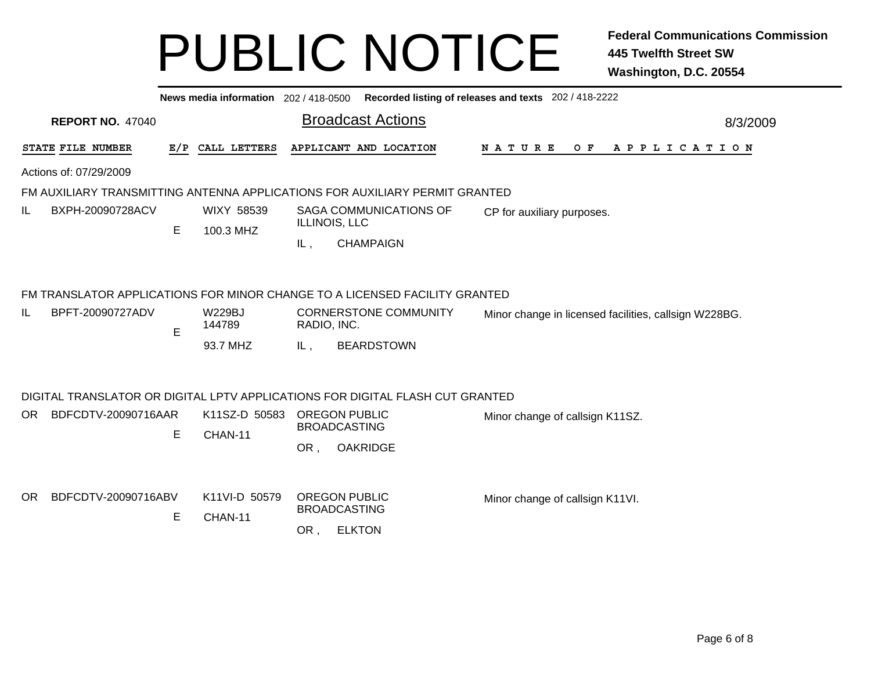|     | Recorded listing of releases and texts 202 / 418-2222<br>News media information 202 / 418-0500 |                         |         |                         |                                             |                                             |                                                                               |  |               |  |  |  |                                                       |  |  |  |  |                       |          |  |  |  |
|-----|------------------------------------------------------------------------------------------------|-------------------------|---------|-------------------------|---------------------------------------------|---------------------------------------------|-------------------------------------------------------------------------------|--|---------------|--|--|--|-------------------------------------------------------|--|--|--|--|-----------------------|----------|--|--|--|
|     |                                                                                                | <b>REPORT NO. 47040</b> |         |                         |                                             |                                             | <b>Broadcast Actions</b>                                                      |  |               |  |  |  |                                                       |  |  |  |  |                       | 8/3/2009 |  |  |  |
|     | STATE FILE NUMBER                                                                              |                         | E/P     | CALL LETTERS            |                                             |                                             | APPLICANT AND LOCATION                                                        |  | <b>NATURE</b> |  |  |  | O F                                                   |  |  |  |  | A P P L I C A T I O N |          |  |  |  |
|     | Actions of: 07/29/2009                                                                         |                         |         |                         |                                             |                                             |                                                                               |  |               |  |  |  |                                                       |  |  |  |  |                       |          |  |  |  |
|     |                                                                                                |                         |         |                         |                                             |                                             | FM AUXILIARY TRANSMITTING ANTENNA APPLICATIONS FOR AUXILIARY PERMIT GRANTED   |  |               |  |  |  |                                                       |  |  |  |  |                       |          |  |  |  |
| IL  |                                                                                                | BXPH-20090728ACV        | E       | WIXY 58539<br>100.3 MHZ |                                             | ILLINOIS, LLC                               | SAGA COMMUNICATIONS OF                                                        |  |               |  |  |  | CP for auxiliary purposes.                            |  |  |  |  |                       |          |  |  |  |
|     |                                                                                                |                         |         |                         |                                             | IL,                                         | <b>CHAMPAIGN</b>                                                              |  |               |  |  |  |                                                       |  |  |  |  |                       |          |  |  |  |
|     |                                                                                                |                         |         |                         |                                             |                                             | FM TRANSLATOR APPLICATIONS FOR MINOR CHANGE TO A LICENSED FACILITY GRANTED    |  |               |  |  |  |                                                       |  |  |  |  |                       |          |  |  |  |
| IL  |                                                                                                | BPFT-20090727ADV        | E       | <b>W229BJ</b><br>144789 | <b>CORNERSTONE COMMUNITY</b><br>RADIO, INC. |                                             |                                                                               |  |               |  |  |  | Minor change in licensed facilities, callsign W228BG. |  |  |  |  |                       |          |  |  |  |
|     |                                                                                                |                         |         | 93.7 MHZ                |                                             | IL,                                         | <b>BEARDSTOWN</b>                                                             |  |               |  |  |  |                                                       |  |  |  |  |                       |          |  |  |  |
|     |                                                                                                |                         |         |                         |                                             |                                             | DIGITAL TRANSLATOR OR DIGITAL LPTV APPLICATIONS FOR DIGITAL FLASH CUT GRANTED |  |               |  |  |  |                                                       |  |  |  |  |                       |          |  |  |  |
| OR. |                                                                                                | BDFCDTV-20090716AAR     |         | K11SZ-D 50583           |                                             | <b>OREGON PUBLIC</b>                        |                                                                               |  |               |  |  |  | Minor change of callsign K11SZ.                       |  |  |  |  |                       |          |  |  |  |
|     |                                                                                                |                         | E       | CHAN-11                 |                                             | <b>BROADCASTING</b>                         |                                                                               |  |               |  |  |  |                                                       |  |  |  |  |                       |          |  |  |  |
|     |                                                                                                |                         |         |                         |                                             | OR.                                         | <b>OAKRIDGE</b>                                                               |  |               |  |  |  |                                                       |  |  |  |  |                       |          |  |  |  |
| OR. | BDFCDTV-20090716ABV                                                                            |                         |         | K11VI-D 50579           |                                             | <b>OREGON PUBLIC</b><br><b>BROADCASTING</b> |                                                                               |  |               |  |  |  | Minor change of callsign K11VI.                       |  |  |  |  |                       |          |  |  |  |
|     |                                                                                                | E                       | CHAN-11 | OR,                     | <b>ELKTON</b>                               |                                             |                                                                               |  |               |  |  |  |                                                       |  |  |  |  |                       |          |  |  |  |
|     |                                                                                                |                         |         |                         |                                             |                                             |                                                                               |  |               |  |  |  |                                                       |  |  |  |  |                       |          |  |  |  |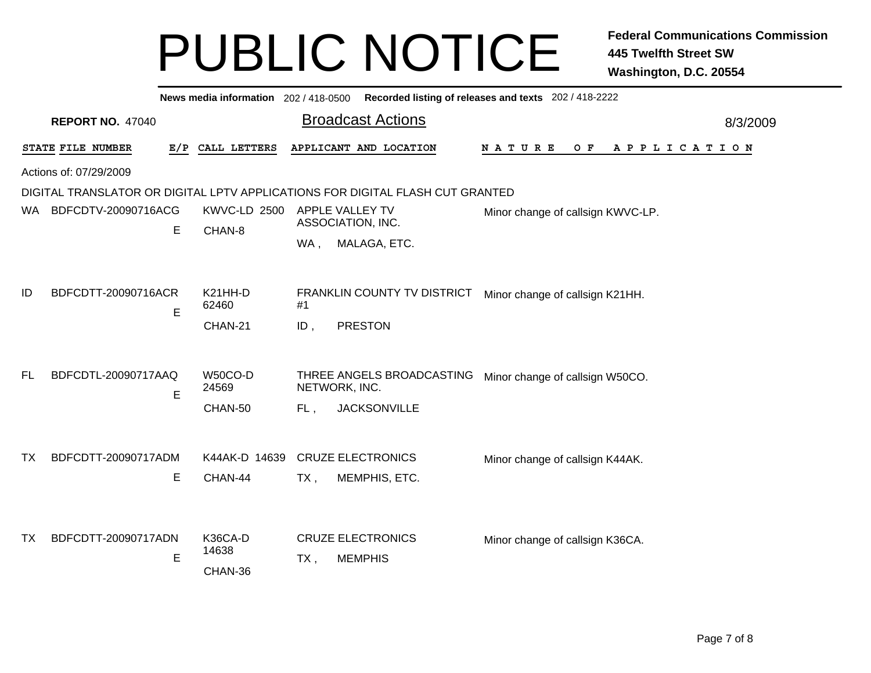|                                                                               |                         |   | News media information 202 / 418-0500 |        |                                            | Recorded listing of releases and texts 202 / 418-2222 |          |  |  |  |  |
|-------------------------------------------------------------------------------|-------------------------|---|---------------------------------------|--------|--------------------------------------------|-------------------------------------------------------|----------|--|--|--|--|
|                                                                               | <b>REPORT NO. 47040</b> |   |                                       |        | <b>Broadcast Actions</b>                   |                                                       | 8/3/2009 |  |  |  |  |
|                                                                               | STATE FILE NUMBER       |   | E/P CALL LETTERS                      |        | APPLICANT AND LOCATION                     | N A T U R E<br>O F<br>A P P L I C A T I O N           |          |  |  |  |  |
|                                                                               | Actions of: 07/29/2009  |   |                                       |        |                                            |                                                       |          |  |  |  |  |
| DIGITAL TRANSLATOR OR DIGITAL LPTV APPLICATIONS FOR DIGITAL FLASH CUT GRANTED |                         |   |                                       |        |                                            |                                                       |          |  |  |  |  |
| WA.                                                                           | BDFCDTV-20090716ACG     |   | KWVC-LD 2500                          |        | APPLE VALLEY TV<br>ASSOCIATION, INC.       | Minor change of callsign KWVC-LP.                     |          |  |  |  |  |
|                                                                               |                         | E | CHAN-8                                | WA,    | MALAGA, ETC.                               |                                                       |          |  |  |  |  |
|                                                                               |                         |   |                                       |        |                                            |                                                       |          |  |  |  |  |
| ID                                                                            | BDFCDTT-20090716ACR     | E | K21HH-D<br>62460                      | #1     | FRANKLIN COUNTY TV DISTRICT                | Minor change of callsign K21HH.                       |          |  |  |  |  |
|                                                                               |                         |   | CHAN-21                               | ID,    | <b>PRESTON</b>                             |                                                       |          |  |  |  |  |
|                                                                               |                         |   |                                       |        |                                            |                                                       |          |  |  |  |  |
| FL                                                                            | BDFCDTL-20090717AAQ     | E | W50CO-D<br>24569                      |        | THREE ANGELS BROADCASTING<br>NETWORK, INC. | Minor change of callsign W50CO.                       |          |  |  |  |  |
|                                                                               |                         |   | CHAN-50                               | FL,    | <b>JACKSONVILLE</b>                        |                                                       |          |  |  |  |  |
|                                                                               |                         |   |                                       |        |                                            |                                                       |          |  |  |  |  |
| TX                                                                            | BDFCDTT-20090717ADM     |   | K44AK-D 14639                         |        | <b>CRUZE ELECTRONICS</b>                   | Minor change of callsign K44AK.                       |          |  |  |  |  |
|                                                                               |                         | E | CHAN-44                               | $TX$ , | MEMPHIS, ETC.                              |                                                       |          |  |  |  |  |
|                                                                               |                         |   |                                       |        |                                            |                                                       |          |  |  |  |  |
| ТX                                                                            | BDFCDTT-20090717ADN     |   | K36CA-D                               |        | <b>CRUZE ELECTRONICS</b>                   | Minor change of callsign K36CA.                       |          |  |  |  |  |
|                                                                               |                         | E | 14638                                 | TX,    | <b>MEMPHIS</b>                             |                                                       |          |  |  |  |  |
|                                                                               |                         |   | CHAN-36                               |        |                                            |                                                       |          |  |  |  |  |